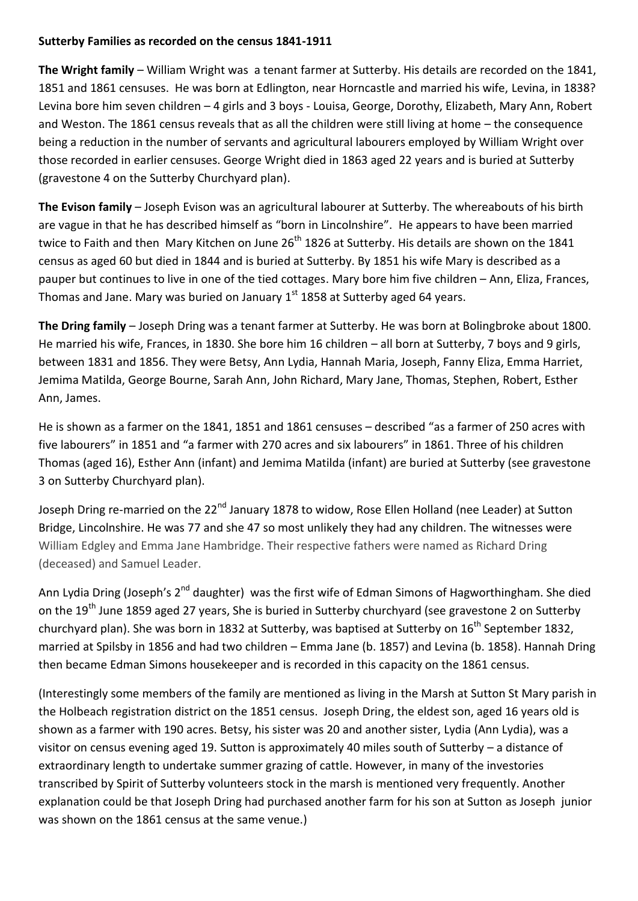## **Sutterby Families as recorded on the census 1841-1911**

**The Wright family** – William Wright was a tenant farmer at Sutterby. His details are recorded on the 1841, 1851 and 1861 censuses. He was born at Edlington, near Horncastle and married his wife, Levina, in 1838? Levina bore him seven children – 4 girls and 3 boys - Louisa, George, Dorothy, Elizabeth, Mary Ann, Robert and Weston. The 1861 census reveals that as all the children were still living at home – the consequence being a reduction in the number of servants and agricultural labourers employed by William Wright over those recorded in earlier censuses. George Wright died in 1863 aged 22 years and is buried at Sutterby (gravestone 4 on the Sutterby Churchyard plan).

**The Evison family** – Joseph Evison was an agricultural labourer at Sutterby. The whereabouts of his birth are vague in that he has described himself as "born in Lincolnshire". He appears to have been married twice to Faith and then Mary Kitchen on June 26<sup>th</sup> 1826 at Sutterby. His details are shown on the 1841 census as aged 60 but died in 1844 and is buried at Sutterby. By 1851 his wife Mary is described as a pauper but continues to live in one of the tied cottages. Mary bore him five children – Ann, Eliza, Frances, Thomas and Jane. Mary was buried on January  $1<sup>st</sup>$  1858 at Sutterby aged 64 years.

**The Dring family** – Joseph Dring was a tenant farmer at Sutterby. He was born at Bolingbroke about 1800. He married his wife, Frances, in 1830. She bore him 16 children – all born at Sutterby, 7 boys and 9 girls, between 1831 and 1856. They were Betsy, Ann Lydia, Hannah Maria, Joseph, Fanny Eliza, Emma Harriet, Jemima Matilda, George Bourne, Sarah Ann, John Richard, Mary Jane, Thomas, Stephen, Robert, Esther Ann, James.

He is shown as a farmer on the 1841, 1851 and 1861 censuses – described "as a farmer of 250 acres with five labourers" in 1851 and "a farmer with 270 acres and six labourers" in 1861. Three of his children Thomas (aged 16), Esther Ann (infant) and Jemima Matilda (infant) are buried at Sutterby (see gravestone 3 on Sutterby Churchyard plan).

Joseph Dring re-married on the 22<sup>nd</sup> January 1878 to widow. Rose Ellen Holland (nee Leader) at Sutton Bridge, Lincolnshire. He was 77 and she 47 so most unlikely they had any children. The witnesses were William Edgley and Emma Jane Hambridge. Their respective fathers were named as Richard Dring (deceased) and Samuel Leader.

Ann Lydia Dring (Joseph's 2<sup>nd</sup> daughter) was the first wife of Edman Simons of Hagworthingham. She died on the 19<sup>th</sup> June 1859 aged 27 years, She is buried in Sutterby churchyard (see gravestone 2 on Sutterby churchyard plan). She was born in 1832 at Sutterby, was baptised at Sutterby on 16<sup>th</sup> September 1832. married at Spilsby in 1856 and had two children – Emma Jane (b. 1857) and Levina (b. 1858). Hannah Dring then became Edman Simons housekeeper and is recorded in this capacity on the 1861 census.

(Interestingly some members of the family are mentioned as living in the Marsh at Sutton St Mary parish in the Holbeach registration district on the 1851 census. Joseph Dring, the eldest son, aged 16 years old is shown as a farmer with 190 acres. Betsy, his sister was 20 and another sister, Lydia (Ann Lydia), was a visitor on census evening aged 19. Sutton is approximately 40 miles south of Sutterby – a distance of extraordinary length to undertake summer grazing of cattle. However, in many of the investories transcribed by Spirit of Sutterby volunteers stock in the marsh is mentioned very frequently. Another explanation could be that Joseph Dring had purchased another farm for his son at Sutton as Joseph junior was shown on the 1861 census at the same venue.)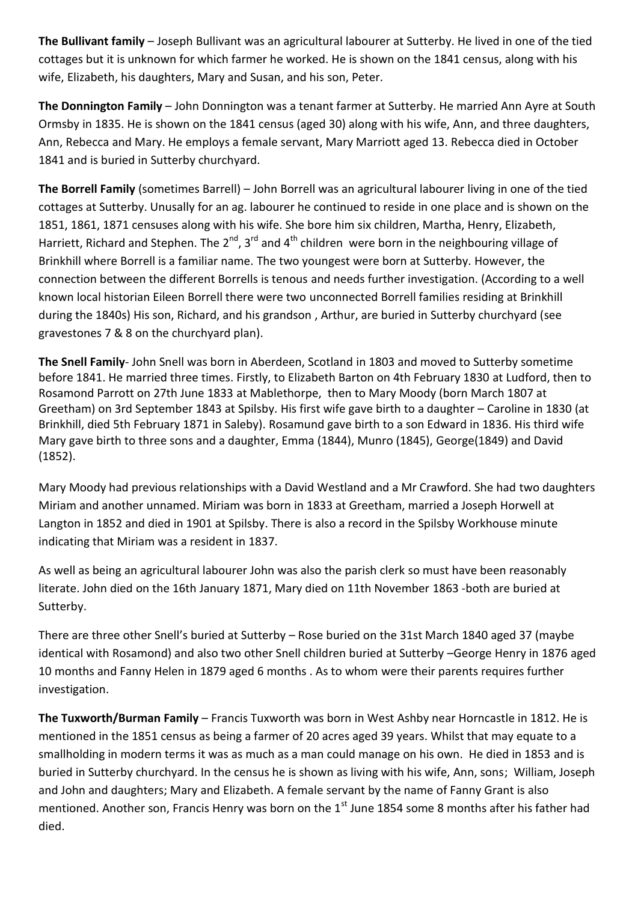**The Bullivant family** – Joseph Bullivant was an agricultural labourer at Sutterby. He lived in one of the tied cottages but it is unknown for which farmer he worked. He is shown on the 1841 census, along with his wife, Elizabeth, his daughters, Mary and Susan, and his son, Peter.

**The Donnington Family** – John Donnington was a tenant farmer at Sutterby. He married Ann Ayre at South Ormsby in 1835. He is shown on the 1841 census (aged 30) along with his wife, Ann, and three daughters, Ann, Rebecca and Mary. He employs a female servant, Mary Marriott aged 13. Rebecca died in October 1841 and is buried in Sutterby churchyard.

**The Borrell Family** (sometimes Barrell) – John Borrell was an agricultural labourer living in one of the tied cottages at Sutterby. Unusally for an ag. labourer he continued to reside in one place and is shown on the 1851, 1861, 1871 censuses along with his wife. She bore him six children, Martha, Henry, Elizabeth, Harriett, Richard and Stephen. The  $2^{nd}$ , 3<sup>rd</sup> and 4<sup>th</sup> children were born in the neighbouring village of Brinkhill where Borrell is a familiar name. The two youngest were born at Sutterby. However, the connection between the different Borrells is tenous and needs further investigation. (According to a well known local historian Eileen Borrell there were two unconnected Borrell families residing at Brinkhill during the 1840s) His son, Richard, and his grandson , Arthur, are buried in Sutterby churchyard (see gravestones 7 & 8 on the churchyard plan).

**The Snell Family**- John Snell was born in Aberdeen, Scotland in 1803 and moved to Sutterby sometime before 1841. He married three times. Firstly, to Elizabeth Barton on 4th February 1830 at Ludford, then to Rosamond Parrott on 27th June 1833 at Mablethorpe, then to Mary Moody (born March 1807 at Greetham) on 3rd September 1843 at Spilsby. His first wife gave birth to a daughter – Caroline in 1830 (at Brinkhill, died 5th February 1871 in Saleby). Rosamund gave birth to a son Edward in 1836. His third wife Mary gave birth to three sons and a daughter, Emma (1844), Munro (1845), George(1849) and David (1852).

Mary Moody had previous relationships with a David Westland and a Mr Crawford. She had two daughters Miriam and another unnamed. Miriam was born in 1833 at Greetham, married a Joseph Horwell at Langton in 1852 and died in 1901 at Spilsby. There is also a record in the Spilsby Workhouse minute indicating that Miriam was a resident in 1837.

As well as being an agricultural labourer John was also the parish clerk so must have been reasonably literate. John died on the 16th January 1871, Mary died on 11th November 1863 -both are buried at Sutterby.

There are three other Snell's buried at Sutterby – Rose buried on the 31st March 1840 aged 37 (maybe identical with Rosamond) and also two other Snell children buried at Sutterby –George Henry in 1876 aged 10 months and Fanny Helen in 1879 aged 6 months . As to whom were their parents requires further investigation.

**The Tuxworth/Burman Family** – Francis Tuxworth was born in West Ashby near Horncastle in 1812. He is mentioned in the 1851 census as being a farmer of 20 acres aged 39 years. Whilst that may equate to a smallholding in modern terms it was as much as a man could manage on his own. He died in 1853 and is buried in Sutterby churchyard. In the census he is shown as living with his wife, Ann, sons; William, Joseph and John and daughters; Mary and Elizabeth. A female servant by the name of Fanny Grant is also mentioned. Another son, Francis Henry was born on the  $1<sup>st</sup>$  June 1854 some 8 months after his father had died.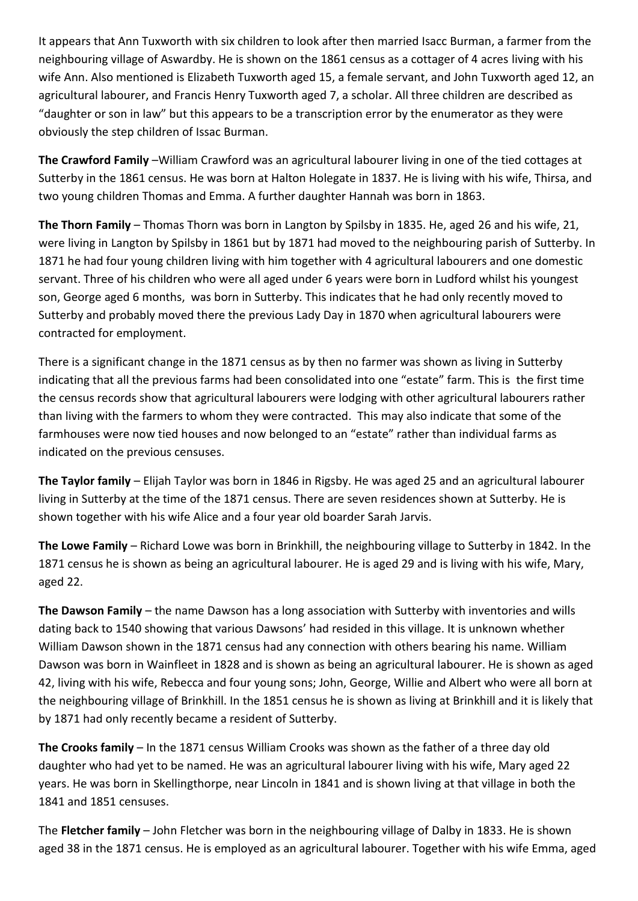It appears that Ann Tuxworth with six children to look after then married Isacc Burman, a farmer from the neighbouring village of Aswardby. He is shown on the 1861 census as a cottager of 4 acres living with his wife Ann. Also mentioned is Elizabeth Tuxworth aged 15, a female servant, and John Tuxworth aged 12, an agricultural labourer, and Francis Henry Tuxworth aged 7, a scholar. All three children are described as "daughter or son in law" but this appears to be a transcription error by the enumerator as they were obviously the step children of Issac Burman.

**The Crawford Family** –William Crawford was an agricultural labourer living in one of the tied cottages at Sutterby in the 1861 census. He was born at Halton Holegate in 1837. He is living with his wife, Thirsa, and two young children Thomas and Emma. A further daughter Hannah was born in 1863.

**The Thorn Family** – Thomas Thorn was born in Langton by Spilsby in 1835. He, aged 26 and his wife, 21, were living in Langton by Spilsby in 1861 but by 1871 had moved to the neighbouring parish of Sutterby. In 1871 he had four young children living with him together with 4 agricultural labourers and one domestic servant. Three of his children who were all aged under 6 years were born in Ludford whilst his youngest son, George aged 6 months, was born in Sutterby. This indicates that he had only recently moved to Sutterby and probably moved there the previous Lady Day in 1870 when agricultural labourers were contracted for employment.

There is a significant change in the 1871 census as by then no farmer was shown as living in Sutterby indicating that all the previous farms had been consolidated into one "estate" farm. This is the first time the census records show that agricultural labourers were lodging with other agricultural labourers rather than living with the farmers to whom they were contracted. This may also indicate that some of the farmhouses were now tied houses and now belonged to an "estate" rather than individual farms as indicated on the previous censuses.

**The Taylor family** – Elijah Taylor was born in 1846 in Rigsby. He was aged 25 and an agricultural labourer living in Sutterby at the time of the 1871 census. There are seven residences shown at Sutterby. He is shown together with his wife Alice and a four year old boarder Sarah Jarvis.

**The Lowe Family** – Richard Lowe was born in Brinkhill, the neighbouring village to Sutterby in 1842. In the 1871 census he is shown as being an agricultural labourer. He is aged 29 and is living with his wife, Mary, aged 22.

**The Dawson Family** – the name Dawson has a long association with Sutterby with inventories and wills dating back to 1540 showing that various Dawsons' had resided in this village. It is unknown whether William Dawson shown in the 1871 census had any connection with others bearing his name. William Dawson was born in Wainfleet in 1828 and is shown as being an agricultural labourer. He is shown as aged 42, living with his wife, Rebecca and four young sons; John, George, Willie and Albert who were all born at the neighbouring village of Brinkhill. In the 1851 census he is shown as living at Brinkhill and it is likely that by 1871 had only recently became a resident of Sutterby.

**The Crooks family** – In the 1871 census William Crooks was shown as the father of a three day old daughter who had yet to be named. He was an agricultural labourer living with his wife, Mary aged 22 years. He was born in Skellingthorpe, near Lincoln in 1841 and is shown living at that village in both the 1841 and 1851 censuses.

The **Fletcher family** – John Fletcher was born in the neighbouring village of Dalby in 1833. He is shown aged 38 in the 1871 census. He is employed as an agricultural labourer. Together with his wife Emma, aged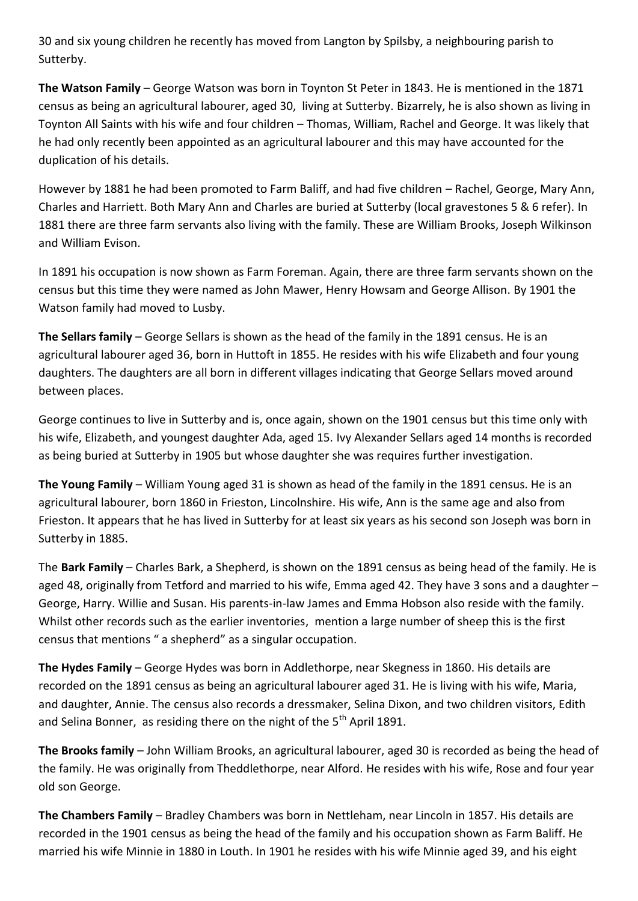30 and six young children he recently has moved from Langton by Spilsby, a neighbouring parish to Sutterby.

**The Watson Family** – George Watson was born in Toynton St Peter in 1843. He is mentioned in the 1871 census as being an agricultural labourer, aged 30, living at Sutterby. Bizarrely, he is also shown as living in Toynton All Saints with his wife and four children – Thomas, William, Rachel and George. It was likely that he had only recently been appointed as an agricultural labourer and this may have accounted for the duplication of his details.

However by 1881 he had been promoted to Farm Baliff, and had five children – Rachel, George, Mary Ann, Charles and Harriett. Both Mary Ann and Charles are buried at Sutterby (local gravestones 5 & 6 refer). In 1881 there are three farm servants also living with the family. These are William Brooks, Joseph Wilkinson and William Evison.

In 1891 his occupation is now shown as Farm Foreman. Again, there are three farm servants shown on the census but this time they were named as John Mawer, Henry Howsam and George Allison. By 1901 the Watson family had moved to Lusby.

**The Sellars family** – George Sellars is shown as the head of the family in the 1891 census. He is an agricultural labourer aged 36, born in Huttoft in 1855. He resides with his wife Elizabeth and four young daughters. The daughters are all born in different villages indicating that George Sellars moved around between places.

George continues to live in Sutterby and is, once again, shown on the 1901 census but this time only with his wife, Elizabeth, and youngest daughter Ada, aged 15. Ivy Alexander Sellars aged 14 months is recorded as being buried at Sutterby in 1905 but whose daughter she was requires further investigation.

**The Young Family** – William Young aged 31 is shown as head of the family in the 1891 census. He is an agricultural labourer, born 1860 in Frieston, Lincolnshire. His wife, Ann is the same age and also from Frieston. It appears that he has lived in Sutterby for at least six years as his second son Joseph was born in Sutterby in 1885.

The **Bark Family** – Charles Bark, a Shepherd, is shown on the 1891 census as being head of the family. He is aged 48, originally from Tetford and married to his wife, Emma aged 42. They have 3 sons and a daughter – George, Harry. Willie and Susan. His parents-in-law James and Emma Hobson also reside with the family. Whilst other records such as the earlier inventories, mention a large number of sheep this is the first census that mentions " a shepherd" as a singular occupation.

**The Hydes Family** – George Hydes was born in Addlethorpe, near Skegness in 1860. His details are recorded on the 1891 census as being an agricultural labourer aged 31. He is living with his wife, Maria, and daughter, Annie. The census also records a dressmaker, Selina Dixon, and two children visitors, Edith and Selina Bonner, as residing there on the night of the  $5<sup>th</sup>$  April 1891.

**The Brooks family** – John William Brooks, an agricultural labourer, aged 30 is recorded as being the head of the family. He was originally from Theddlethorpe, near Alford. He resides with his wife, Rose and four year old son George.

**The Chambers Family** – Bradley Chambers was born in Nettleham, near Lincoln in 1857. His details are recorded in the 1901 census as being the head of the family and his occupation shown as Farm Baliff. He married his wife Minnie in 1880 in Louth. In 1901 he resides with his wife Minnie aged 39, and his eight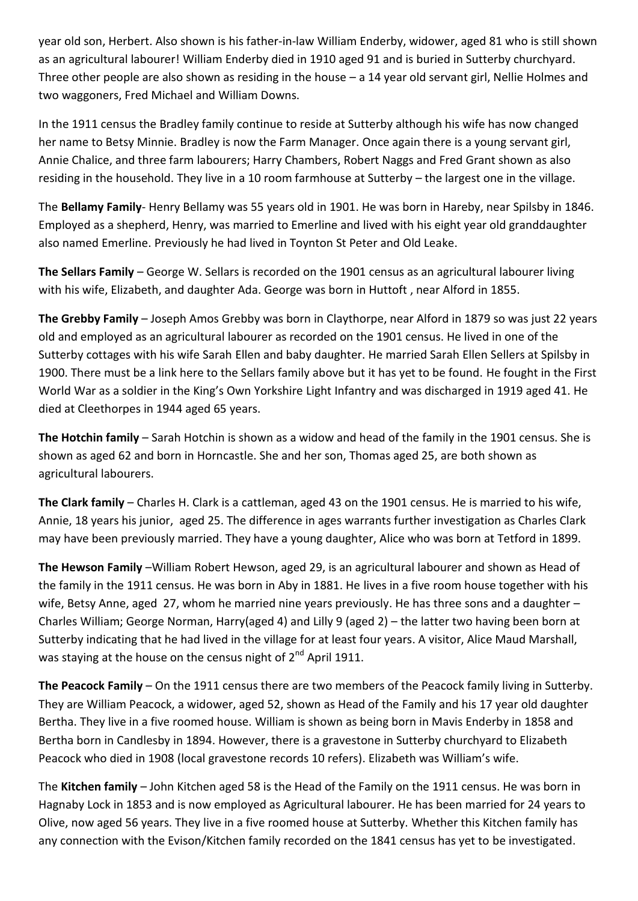year old son, Herbert. Also shown is his father-in-law William Enderby, widower, aged 81 who is still shown as an agricultural labourer! William Enderby died in 1910 aged 91 and is buried in Sutterby churchyard. Three other people are also shown as residing in the house – a 14 year old servant girl, Nellie Holmes and two waggoners, Fred Michael and William Downs.

In the 1911 census the Bradley family continue to reside at Sutterby although his wife has now changed her name to Betsy Minnie. Bradley is now the Farm Manager. Once again there is a young servant girl, Annie Chalice, and three farm labourers; Harry Chambers, Robert Naggs and Fred Grant shown as also residing in the household. They live in a 10 room farmhouse at Sutterby – the largest one in the village.

The **Bellamy Family**- Henry Bellamy was 55 years old in 1901. He was born in Hareby, near Spilsby in 1846. Employed as a shepherd, Henry, was married to Emerline and lived with his eight year old granddaughter also named Emerline. Previously he had lived in Toynton St Peter and Old Leake.

**The Sellars Family** – George W. Sellars is recorded on the 1901 census as an agricultural labourer living with his wife, Elizabeth, and daughter Ada. George was born in Huttoft , near Alford in 1855.

**The Grebby Family** – Joseph Amos Grebby was born in Claythorpe, near Alford in 1879 so was just 22 years old and employed as an agricultural labourer as recorded on the 1901 census. He lived in one of the Sutterby cottages with his wife Sarah Ellen and baby daughter. He married Sarah Ellen Sellers at Spilsby in 1900. There must be a link here to the Sellars family above but it has yet to be found. He fought in the First World War as a soldier in the King's Own Yorkshire Light Infantry and was discharged in 1919 aged 41. He died at Cleethorpes in 1944 aged 65 years.

**The Hotchin family** – Sarah Hotchin is shown as a widow and head of the family in the 1901 census. She is shown as aged 62 and born in Horncastle. She and her son, Thomas aged 25, are both shown as agricultural labourers.

**The Clark family** – Charles H. Clark is a cattleman, aged 43 on the 1901 census. He is married to his wife, Annie, 18 years his junior, aged 25. The difference in ages warrants further investigation as Charles Clark may have been previously married. They have a young daughter, Alice who was born at Tetford in 1899.

**The Hewson Family** –William Robert Hewson, aged 29, is an agricultural labourer and shown as Head of the family in the 1911 census. He was born in Aby in 1881. He lives in a five room house together with his wife, Betsy Anne, aged 27, whom he married nine years previously. He has three sons and a daughter – Charles William; George Norman, Harry(aged 4) and Lilly 9 (aged 2) – the latter two having been born at Sutterby indicating that he had lived in the village for at least four years. A visitor, Alice Maud Marshall, was staying at the house on the census night of  $2^{nd}$  April 1911.

**The Peacock Family** – On the 1911 census there are two members of the Peacock family living in Sutterby. They are William Peacock, a widower, aged 52, shown as Head of the Family and his 17 year old daughter Bertha. They live in a five roomed house. William is shown as being born in Mavis Enderby in 1858 and Bertha born in Candlesby in 1894. However, there is a gravestone in Sutterby churchyard to Elizabeth Peacock who died in 1908 (local gravestone records 10 refers). Elizabeth was William's wife.

The **Kitchen family** – John Kitchen aged 58 is the Head of the Family on the 1911 census. He was born in Hagnaby Lock in 1853 and is now employed as Agricultural labourer. He has been married for 24 years to Olive, now aged 56 years. They live in a five roomed house at Sutterby. Whether this Kitchen family has any connection with the Evison/Kitchen family recorded on the 1841 census has yet to be investigated.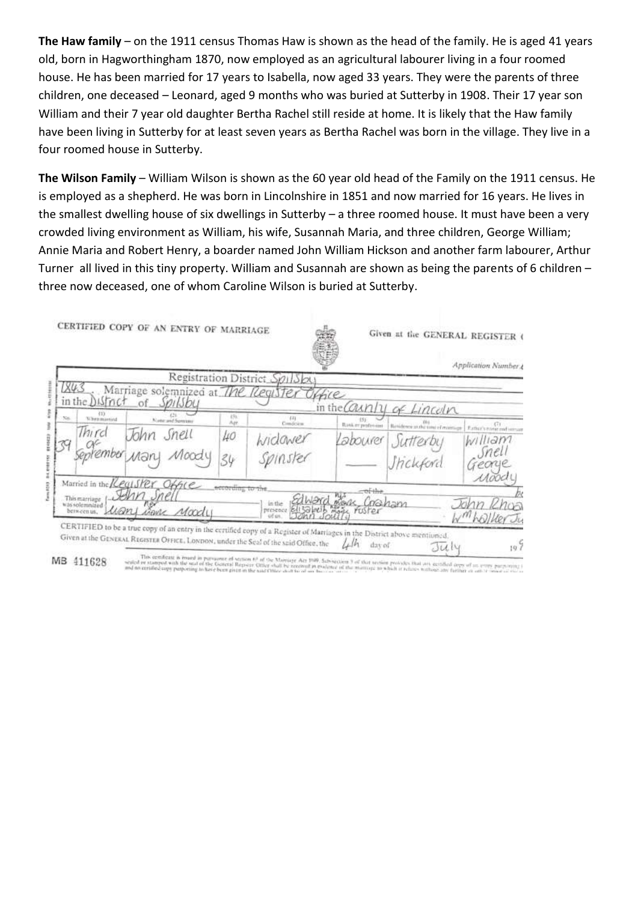**The Haw family** – on the 1911 census Thomas Haw is shown as the head of the family. He is aged 41 years old, born in Hagworthingham 1870, now employed as an agricultural labourer living in a four roomed house. He has been married for 17 years to Isabella, now aged 33 years. They were the parents of three children, one deceased – Leonard, aged 9 months who was buried at Sutterby in 1908. Their 17 year son William and their 7 year old daughter Bertha Rachel still reside at home. It is likely that the Haw family have been living in Sutterby for at least seven years as Bertha Rachel was born in the village. They live in a four roomed house in Sutterby.

**The Wilson Family** – William Wilson is shown as the 60 year old head of the Family on the 1911 census. He is employed as a shepherd. He was born in Lincolnshire in 1851 and now married for 16 years. He lives in the smallest dwelling house of six dwellings in Sutterby – a three roomed house. It must have been a very crowded living environment as William, his wife, Susannah Maria, and three children, George William; Annie Maria and Robert Henry, a boarder named John William Hickson and another farm labourer, Arthur Turner all lived in this tiny property. William and Susannah are shown as being the parents of 6 children – three now deceased, one of whom Caroline Wilson is buried at Sutterby.

|     |                                                       |                                                                 |                | Registration District SpilSby                                                                                                                                                 |                   |                                   | Application Number 4             |
|-----|-------------------------------------------------------|-----------------------------------------------------------------|----------------|-------------------------------------------------------------------------------------------------------------------------------------------------------------------------------|-------------------|-----------------------------------|----------------------------------|
|     | in the DISTrict                                       | Marriage solemnized at The Register Office<br>of <i>Spilsbu</i> |                |                                                                                                                                                                               |                   | in the County of Lincoln          |                                  |
| Nis | (1)<br>When married                                   | Note and Semissi                                                | 13h<br>Air     | 141<br>Condetion                                                                                                                                                              | Rasker profession | Residence at the twee of matrices | Eather's evening and versus      |
|     | Third<br>ember<br>Married in the <i>[Ceg1SPer</i> ]   | Snell<br>hhn<br>Moody<br>Man<br>Office                          | 40<br>34       | Widower<br>Spinster                                                                                                                                                           | abourer           | Sutterby<br>Inclusord             | William<br>snel<br>reago<br>Mood |
|     | This marriage<br>was solemnized.<br>wm<br>bein cenus. | Senn Snel<br>igne Moody                                         | conting to the | nWard<br>in the<br><b>Ell Gilmin</b><br>presence<br>CERTIFIED to be a true copy of an entry in the certified copy of a Register of Marriages in the District above mentioned. | ruster            | Cochan                            |                                  |

MB 411628

The seminate is made a personne of somes 62 of the Marriage Art 1989. Subsection 3 of that serious provides that any excitibal argu of an every purposing i<br>roled or manpel with the selection of the season Cities on the ori